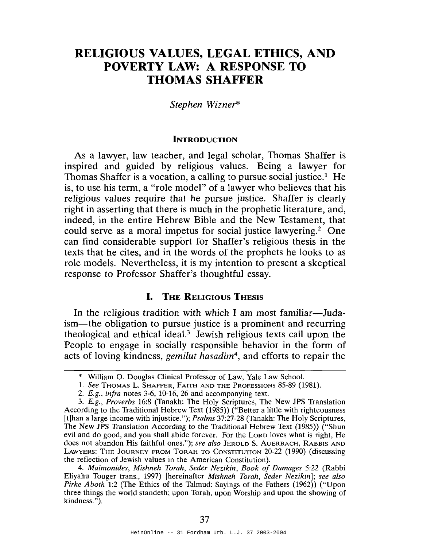# RELIGIOUS VALUES, LEGAL ETHICS, AND POVERTY LAW: A RESPONSE TO THOMAS SHAFFER

#### *Stephen Wizner\**

#### **INTRODUCTION**

As a lawyer, law teacher, and legal scholar, Thomas Shaffer is inspired and guided by religious values. Being a lawyer for Thomas Shaffer is a vocation, a calling to pursue social justice.<sup>1</sup> He is, to use his term, a "role model" of a lawyer who believes that his religious values require that he pursue justice. Shaffer is clearly right in asserting that there is much in the prophetic literature, and, indeed, in the entire Hebrew Bible and the New Testament, that could serve as a moral impetus for social justice lawyering.<sup>2</sup> One can find considerable support for Shaffer's religious thesis in the texts that he cites, and in the words of the prophets he looks to as role models. Nevertheless, it is my intention to present a skeptical response to Professor Shaffer's thoughtful essay.

## I. THE RELIGIOUS THESIS

In the religious tradition with which I am most familiar—Judaism-the obligation to pursue justice is a prominent and recurring theological and ethical ideal.3 Jewish religious texts call upon the People to engage in socially responsible behavior in the form of acts of loving kindness, *gemilut hasadim*<sup>4</sup> , and efforts to repair the

*4. Maimonides, Mishneh Torah, Seder Nezikin, Book of Damages* 5:22 (Rabbi Eliyahu Touger trans., 1997) [hereinafter *Mishneh Torah, Seder Nezikin]; see also Pirke Aboth* 1:2 (The Ethics of the Talmud: Sayings of the Fathers (1962)) ("Upon three things the world standeth; upon Torah, upon Worship and upon the showing of kindness. ").

<sup>\*</sup> William O. Douglas Clinical Professor of Law, Yale Law School.

<sup>1.</sup> *See* THOMAS L. SHAFFER, FAITH AND THE PROFESSIONS 85-89 (1981).

*<sup>2.</sup> E.g., infra* notes 3-6, 10-16,26 and accompanying text.

*<sup>3.</sup> E.g., Proverbs* 16:8 (Tanakh: The Holy Scriptures, The New JPS Translation According to the Traditional Hebrew Text (1985» ("Better a little with righteousness [t]han a large income with injustice."); *Psalms* 37:27-28 (Tanakh: The Holy Scriptures, The New JPS Translation According to the Traditional Hebrew Text (1985)) ("Shun evil and do good, and you shall abide forever. For the LORD loves what is right, He does not abandon His faithful ones."); *see also* JEROLD S. AUERBACH, RABBIS AND LAWYERS: THE JOURNEY FROM TORAH TO CONSTITUTION 20-22 (1990) (discussing the reflection of Jewish values in the American Constitution).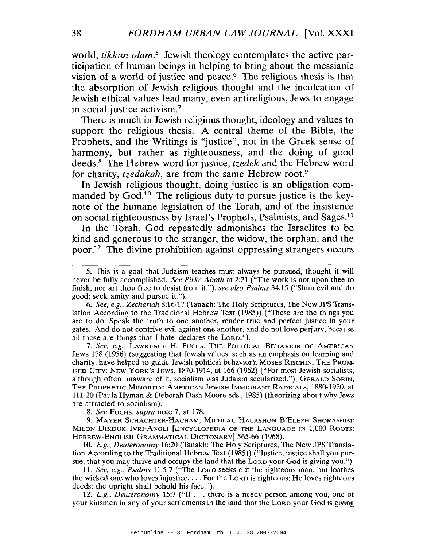world, *tikkun olam*.<sup>5</sup> Jewish theology contemplates the active participation of human beings in helping to bring about the messianic vision of a world of justice and peace.6 The religious thesis is that the absorption of Jewish religious thought and the inculcation of Jewish ethical values lead many, even antireligious, Jews to engage in social justice activism.?

There is much in Jewish religious thought, ideology and values to support the religious thesis. A central theme of the Bible, the Prophets, and the Writings is "justice", not in the Greek sense of harmony, but rather as righteousness, and the doing of good deeds.8 The Hebrew word for justice, *tzedek* and the Hebrew word for charity, *tzedakah*, are from the same Hebrew root.<sup>9</sup>

In Jewish religious thought, doing justice is an obligation commanded by God.<sup>10</sup> The religious duty to pursue justice is the keynote of the humane legislation of the Torah, and of the insistence on social righteousness by Israel's Prophets, Psalmists, and Sages.<sup>11</sup>

In the Torah, God repeatedly admonishes the Israelites to be kind and generous to the stranger, the widow, the orphan, and the poor.<sup>12</sup> The divine prohibition against oppressing strangers occurs

*7. See, e.g.,* LAWRENCE H. FUCHS, THE POLITICAL BEHAVIOR OF AMERICAN JEWS 178 (1956) (suggesting that Jewish values, such as an emphasis on learning and charity, have helped to guide Jewish political behavior); MOSES RISCHlN, THE PROM-ISED CITY: NEW YORK'S JEWS, 1870-1914, at 166 (1962) ("For most Jewish socialists, although often unaware of it, socialism was Judaism secularized."); GERALD SORIN, THE PROPHETIC MINORITY: AMERICAN JEWISH IMMIGRANT RADICALS, 1880-1920, at 111-20 (Paula Hyman & Deborah Dash Moore eds., 1985) (theorizing about why Jews are attracted to socialism).

*8. See* FUCHS, *supra* note 7, at 178.

9. MAYER SCHACHTER-HACHAM, MICHLAL HALASHON B'ELEPH SHORASHIM: MILON DIKDUK IVRI-ANGLI [ENCYCLOPEDIA OF THE LANGUAGE IN 1,000 ROOTS: HEBREW-ENGLISH GRAMMATICAL DICTIONARY] 565-66 (1968).

*10. E.g., Deuteronomy* 16:20 (Tanakh: The Holy Scriptures, The New JPS Translation According to the Traditional Hebrew Text (1985)) ("Justice, justice shall you pursue, that you may thrive and occupy the land that the LORD your God is giving you.").

*11. See, e.g., Psalms* 11:5-7 ("The LORD seeks out the righteous man, but loathes the wicked one who loves injustice.... For the LORD is righteous; He loves righteous deeds; the upright shall behold his face.").

*12. E.g., Deuteronomy* 15:7 ("If ... there is <sup>a</sup> needy person among you, one of your kinsmen in any of your settlements in the land that the LORD your God is giving

<sup>5.</sup> This is a goal that Judaism teaches must always be pursued, thought it will never be fully accomplished. *See Pirke Aboth* at 2:21 ("The work is not upon thee to finish, nor art thou free to desist from it."); *see also Psalms* 34:15 ("Shun evil and do good; seek amity and pursue it.").

*<sup>6.</sup> See, e.g., Zechariah* 8:16-17 (Tanakh: The Holy Scriptures, The New JPS Translation According to the Traditional Hebrew Text (1985)) ("These are the things you are to do: Speak the truth to one another, render true and perfect justice in your gates. And do not contrive evil against one another, and do not love perjury, because all those are things that I hate-declares the LORD.").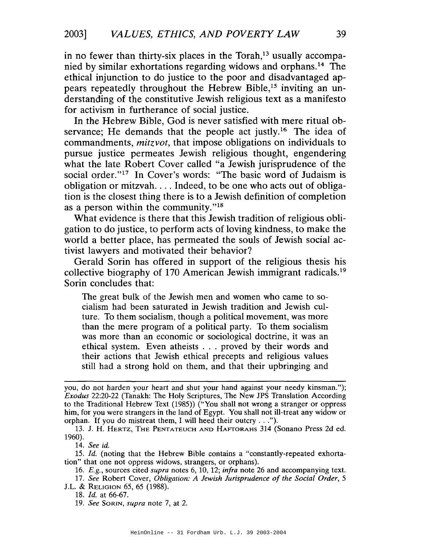in no fewer than thirty-six places in the Torah, $13$  usually accompanied by similar exhortations regarding widows and orphans.<sup>14</sup> The ethical injunction to do justice to the poor and disadvantaged appears repeatedly throughout the Hebrew Bible,15 inviting an understanding of the constitutive Jewish religious text as a manifesto for activism in furtherance of social justice.

In the Hebrew Bible, God is never satisfied with mere ritual observance; He demands that the people act justly.<sup>16</sup> The idea of commandments, *mitzvot,* that impose obligations on individuals to pursue justice permeates Jewish religious thought, engendering what the late Robert Cover called "a Jewish jurisprudence of the social order."17 In Cover's words: "The basic word of Judaism is obligation or mitzvah.... Indeed, to be one who acts out of obligation is the closest thing there is to a Jewish definition of completion as a person within the community."18

What evidence is there that this Jewish tradition of religious obligation to do justice, to perform acts of loving kindness, to make the world a better place, has permeated the souls of Jewish social activist lawyers and motivated their behavior?

Gerald Sorin has offered in support of the religious thesis his collective biography of 170 American Jewish immigrant radicals.<sup>19</sup> Sorin concludes that:

The great bulk of the Jewish men and women who came to socialism had been saturated in Jewish tradition and Jewish culture. To them socialism, though a political movement, was more than the mere program of a political party. To them socialism was more than an economic or sociological doctrine, it was an ethical system. Even atheists . . . proved by their words and their actions that Jewish ethical precepts and religious values still had a strong hold on them, and that their upbringing and

*14. See id.*

*16. E.g.,* sources cited *supra* notes 6, 10, 12; *infra* note 26 and accompanying text.

*17. See* Robert Cover, *Obligation: A Jewish Jurisprudence of the Social Order, 5* J.L. & RELIGION 65, 65 (1988).

*19. See* SaRIN, *supra* note 7, at 2.

you, do not harden your heart and shut your hand against your needy kinsman."); *Exodus* 22:20-22 (Tanakh: The Holy Scriptures, The New JPS Translation According to the Traditional Hebrew Text (1985)) ("You shall not wrong a stranger or oppress him, for you were strangers in the land of Egypt. You shall not ill-treat any widow or orphan. If you do mistreat them, <sup>I</sup> will heed their outcry ...").

<sup>13.</sup> J. H. HERTZ, THE PENTATEUCH AND HAFfORAHS 314 (Sonano Press 2d ed. 1960).

*<sup>15.</sup> Id.* (noting that the Hebrew Bible contains a "constantly-repeated exhortation" that one not oppress widows, strangers, or orphans).

*<sup>18.</sup> Id.* at 66-67.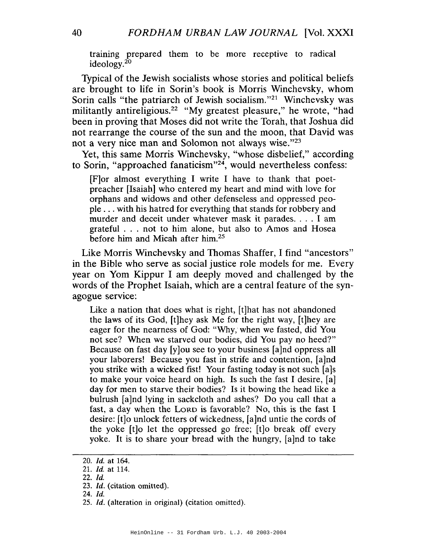training prepared them to be more receptive to radical ideology.<sup>20</sup>

Typical of the Jewish socialists whose stories and political beliefs are brought to life in Sorin's book is Morris Winchevsky, whom Sorin calls "the patriarch of Jewish socialism."<sup>21</sup> Winchevsky was militantly antireligious.<sup>22</sup> "My greatest pleasure," he wrote, "had been in proving that Moses did not write the Torah, that Joshua did not rearrange the course of the sun and the moon, that David was not a very nice man and Solomon not always wise."23

Yet, this same Morris Winchevsky, "whose disbelief," according to Sorin, "approached fanaticism"<sup>24</sup>, would nevertheless confess:

[F]or almost everything I write I have to thank that poetpreacher [Isaiah] who entered my heart and mind with love for orphans and widows and other defenseless and oppressed peopIe ... with his hatred for everything that stands for robbery and murder and deceit under whatever mask it parades. . . . I am grateful . . . not to him alone, but also to Amos and Hosea before him and Micah after him.<sup>25</sup>

Like Morris Winchevsky and Thomas Shaffer, I find "ancestors" in the Bible who serve as social justice role models for me. Every year on Yom Kippur I am deeply moved and challenged by the words of the Prophet Isaiah, which are a central feature of the synagogue service:

Like a nation that does what is right, [t]hat has not abandoned the laws of its God, [t]hey ask Me for the right way, [t]hey are eager for the nearness of God: "Why, when we fasted, did You not see? When we starved our bodies, did You pay no heed?" Because on fast day [y]ou see to your business [a]nd oppress all your laborers! Because you fast in strife and contention, [a]nd you strike with a wicked fist! Your fasting today is not such [a]s to make your voice heard on high. Is such the fast I desire, [a] day for men to starve their bodies? Is it bowing the head like a bulrush [a]nd lying in sackcloth and ashes? Do you call that a fast, a day when the LORD is favorable? No, this is the fast I desire: [t]o unlock fetters of wickedness, [a]nd untie the cords of the yoke [t]o let the oppressed go free; [t]o break off every yoke. It is to share your bread with the hungry, [a]nd to take

<sup>20.</sup> *Id.* at 164.

*<sup>21.</sup>* /d. at 114.

<sup>22.</sup> [d.

<sup>23.</sup> Id. (citation omitted).

<sup>24.</sup> Id.

*<sup>25.</sup> [d.* (alteration in original) (citation omitted).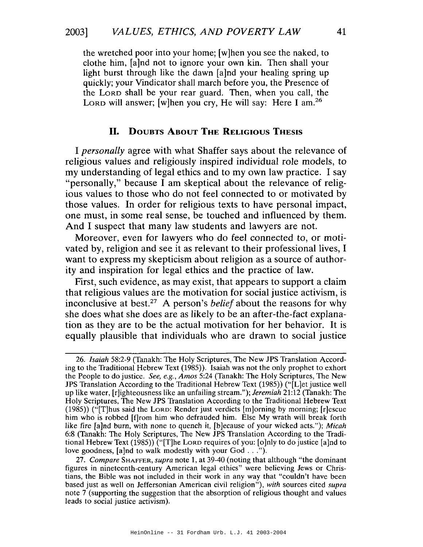the wretched poor into your home; [w]hen you see the naked, to clothe him, [a]nd not to ignore your own kin. Then shall your light burst through like the dawn [a]nd your healing spring up quickly; your Vindicator shall march before you, the Presence of the LORD shall be your rear guard. Then, when you call, the LORD will answer; [w]hen you cry, He will say: Here I am.<sup>26</sup>

## **II.** DOUBTS ABOUT **THE** RELIGIOUS THESIS

I *personally* agree with what Shaffer says about the relevance of religious values and religiously inspired individual role models, to my understanding of legal ethics and to my own law practice. I say "personally," because I am skeptical about the relevance of religious values to those who do not feel connected to or motivated by those values. In order for religious texts to have personal impact, one must, in some real sense, be touched and influenced by them. And I suspect that many law students and lawyers are not.

Moreover, even for lawyers who do feel connected to, or motivated by, religion and see it as relevant to their professional lives, I want to express my skepticism about religion as a source of authority and inspiration for legal ethics and the practice of law.

First, such evidence, as may exist, that appears to support a claim that religious values are the motivation for social justice activism, is inconclusive at best.27 A person's *belief* about the reasons for why she does what she does are as likely to be an after-the-fact explanation as they are to be the actual motivation for her behavior. It is equally plausible that individuals who are drawn to social justice

*<sup>26.</sup> Isaiah* 58:2-9 (Tanakh: The Holy Scriptures, The New JPS Translation According to the Traditional Hebrew Text (1985». Isaiah was not the only prophet to exhort the People to do justice. *See, e.g., Amos* 5:24 (Tanakh: The Holy Scriptures, The New JPS Translation According to the Traditional Hebrew Text (1985» ("[L]et justice well up like water, [r]ighteousness like an unfailing stream."); *Jeremiah* 21:12 (Tanakh: The Holy Scriptures, The New JPS Translation According to the Traditional Hebrew Text (1985» ("[T]hus said the LORD: Render just verdicts [m]orning by morning; [r]escue him who is robbed [f]rom him who defrauded him. Else My wrath will break forth like fire [a]nd burn, with none to quench it, [b]ecause of your wicked acts."); *Micah* 6:8 (Tanakh: The Holy Scriptures, The New JPS Translation According to the Traditional Hebrew Text (1985)) ("[T]he Lorp requires of you: [o]nly to do justice [a]nd to love goodness, [a]nd to walk modestly with your God ...").

*<sup>27.</sup> Compare* SHAFFER, *supra* note 1, at 39-40 (noting that although "the dominant figures in nineteenth-century American legal ethics" were believing Jews or Christians, the Bible was not included in their work in any way that "couldn't have been based just as well on Jeffersonian American civil religion"), *with* sources cited *supra* note 7 (supporting the suggestion that the absorption of religious thought and values leads to social justice activism).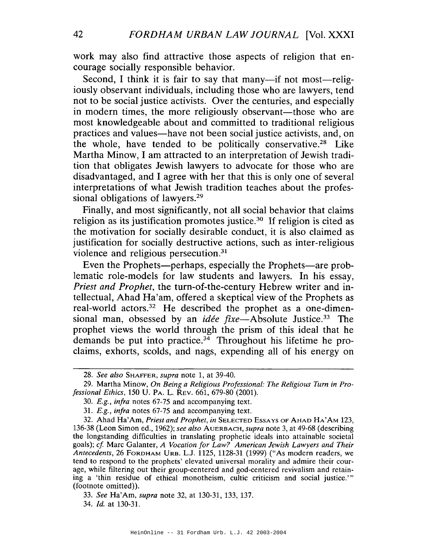work may also find attractive those aspects of religion that encourage socially responsible behavior.

Second, I think it is fair to say that many—if not most—religiously observant individuals, including those who are lawyers, tend not to be social justice activists. Over the centuries, and especially in modern times, the more religiously observant—those who are most knowledgeable about and committed to traditional religious practices and values-have not been social justice activists, and, on the whole, have tended to be politically conservative.<sup>28</sup> Like Martha Minow, I am attracted to an interpretation of Jewish tradition that obligates Jewish lawyers to advocate for those who are disadvantaged, and I agree with her that this is only one of several interpretations of what Jewish tradition teaches about the professional obligations of lawyers.<sup>29</sup>

Finally, and most significantly, not all social behavior that claims religion as its justification promotes justice.<sup>30</sup> If religion is cited as the motivation for socially desirable conduct, it is also claimed as justification for socially destructive actions, such as inter-religious violence and religious persecution.<sup>31</sup>

Even the Prophets—perhaps, especially the Prophets—are problematic role-models for law students and lawyers. In his essay, *Priest and Prophet,* the turn-of-the-century Hebrew writer and intellectual, Ahad Ha'am, offered a skeptical view of the Prophets as real-world actors.<sup>32</sup> He described the prophet as a one-dimensional man, obsessed by an *idée fixe*—Absolute Justice.<sup>33</sup> The prophet views the world through the prism of this ideal that he demands be put into practice. $34$  Throughout his lifetime he proclaims, exhorts, scolds, and nags, expending all of his energy on

*<sup>28.</sup> See also* SHAFFER, *supra* note 1, at 39-40.

<sup>29.</sup> Martha Minow, *On Being a Religious Professional: The Religious Turn in Professional Ethics,* 150 U. PA. L. REV. 661, 679-80 (2001).

*<sup>30.</sup> E.g., infra* notes 67-75 and accompanying text.

*<sup>31.</sup> E.g., infra* notes 67-75 and accompanying text.

<sup>32.</sup> Ahad Ha'Am, *Priest and Prophet, in* SELECTED ESSAYS OF AHAD HA'AM 123, 136-38 (Leon Simon ed., 1962); *see also* AUERBACH, *supra* note 3, at 49-68 (describing the longstanding difficulties in translating prophetic ideals into attainable societal goals); *cf* Marc Galanter, *A Vocation for Law? American Jewish Lawyers and Their Antecedents,* 26 FORDHAM URB. L.J. 1125, 1128-31 (1999) ("As modern readers, we tend to respond to the prophets' elevated universal morality and admire their courage, while filtering out their group-centered and god-centered revivalism and retaining a 'thin residue of ethical monotheism, cultic criticism and social justice.''' (footnote omitted)).

*<sup>33.</sup> See* Ha'Am, *supra* note 32, at 130-31, 133, 137.

*<sup>34.</sup> Id.* at 130-31.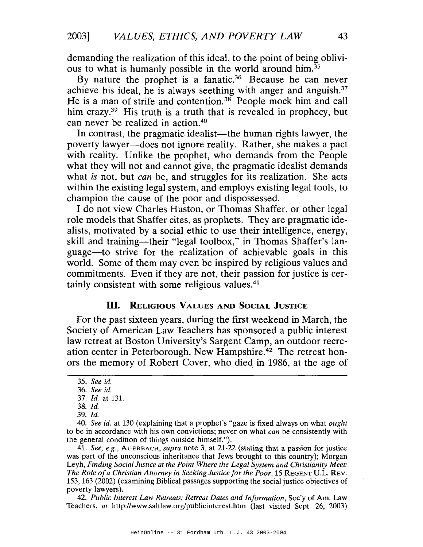demanding the realization of this ideal, to the point of being oblivious to what is humanly possible in the world around him.35

By nature the prophet is a fanatic.<sup>36</sup> Because he can never achieve his ideal, he is always seething with anger and anguish.<sup>37</sup> He is a man of strife and contention.<sup>38</sup> People mock him and call him crazy.<sup>39</sup> His truth is a truth that is revealed in prophecy, but can never be realized in action.40

In contrast, the pragmatic idealist—the human rights lawyer, the poverty lawyer-does not ignore reality. Rather, she makes a pact with reality. Unlike the prophet, who demands from the People what they will not and cannot give, the pragmatic idealist demands what *is* not, but *can* be, and struggles for its realization. She acts within the existing legal system, and employs existing legal tools, to champion the cause of the poor and dispossessed.

I do not view Charles Huston, or Thomas Shaffer, or other legal role models that Shaffer cites, as prophets. They are pragmatic idealists, motivated by a social ethic to use their intelligence, energy, skill and training-their "legal toolbox," in Thomas Shaffer's language-to strive for the realization of achievable goals in this world. Some of them may even be inspired by religious values and commitments. Even if they are not, their passion for justice is certainly consistent with some religious values.<sup>41</sup>

## **III.** RELIGIOUS VALUES AND SOCIAL JUSTICE

For the past sixteen years, during the first weekend in March, the Society of American Law Teachers has sponsored a public interest law retreat at Boston University's Sargent Camp, an outdoor recreation center in Peterborough, New Hampshire.<sup>42</sup> The retreat honors the memory of Robert Cover, who died in 1986, at the age of

*41. See, e.g.,* AUERBACH, *supra* note 3, at 21-22 (stating that a passion for justice was part of the unconscious inheritance that Jews brought to this country); Morgan Leyh, *Finding Social Justice at the Point Where the Legal System and Christianity Meet: The Role ofa Christian Attorney in Seeking Justice for the Poor,* 15 REGENT u.L. REV. 153, 163 (2002) (examining Biblical passages supporting the social justice objectives of poverty lawyers).

42. *Public Interest Law Retreats: Retreat Dates and Information,* Soc'y of Am. Law Teachers, *at* http://www.saltlaw.org/publicinterest.htm (last visited Sept. 26, 2003)

*<sup>35.</sup> See id.*

<sup>36.</sup> *See id.*

*<sup>37.</sup> Id.* at 131.

*<sup>38.</sup> Id.*

*<sup>39.</sup>Id.*

*<sup>40.</sup> See id.* at 130 (explaining that a prophet's "gaze is fixed always on what *ought* to be in accordance with his own convictions; never on what *can* be consistently with the general condition of things outside himself.").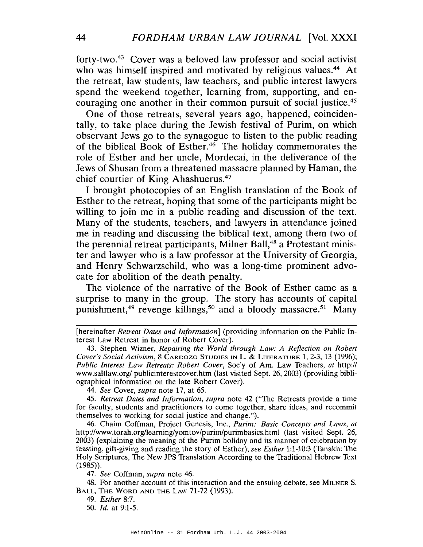forty-two. <sup>43</sup> Cover was a beloved law professor and social activist who was himself inspired and motivated by religious values.<sup>44</sup> At the retreat, law students, law teachers, and public interest lawyers spend the weekend together, learning from, supporting, and encouraging one another in their common pursuit of social justice.45

One of those retreats, several years ago, happened, coincidentally, to take place during the Jewish festival of Purim, on which observant Jews go to the synagogue to listen to the public reading of the biblical Book of Esther.<sup>46</sup> The holiday commemorates the role of Esther and her uncle, Mordecai, in the deliverance of the Jews of Shusan from a threatened massacre planned by Haman, the chief courtier of King Ahashuerus.<sup>47</sup>

I brought photocopies of an English translation of the Book of Esther to the retreat, hoping that some of the participants might be willing to join me in a public reading and discussion of the text. Many of the students, teachers, and lawyers in attendance joined me in reading and discussing the biblical text, among them two of the perennial retreat participants, Milner Ball,<sup>48</sup> a Protestant minister and lawyer who is a law professor at the University of Georgia, and Henry Schwarzschild, who was a long-time prominent advocate for abolition of the death penalty.

The violence of the narrative of the Book of Esther came as a surprise to many in the group. The story has accounts of capital punishment,<sup>49</sup> revenge killings,<sup>50</sup> and a bloody massacre.<sup>51</sup> Many

*44. See* Cover, *supra* note 17, at 65.

*45. Retreat Dates and Information, supra* note 42 ("The Retreats provide a time for faculty, students and practitioners to come together, share ideas, and recommit themselves to working for social justice and change.").

46. Chaim Coffman, Project Genesis, Inc., *Purim: Basic Concepts and Laws, at* http://www.torah.org/learning/yomtov/purim/purimbasics.html (last visited Sept. 26, 2003) (explaining the meaning of the Purim holiday and its manner of celebration by feasting, gift-giving and reading the story of Esther); *see Esther* 1:1-10:3 (Tanakh: The Holy Scriptures, The New JPS Translation According to the Traditional Hebrew Text  $(1985)$ .

*47. See* Coffman, *supra* note 46.

48. For another account of this interaction and the ensuing debate, see MILNER S. BALL, THE WORD AND THE LAW 71-72 (1993).

49. *Esther* 8:7.

*50. Id.* at 9:1-5.

<sup>[</sup>hereinafter *Retreat Dates and Information]* (providing information on the Public Interest Law Retreat in honor of Robert Cover).

<sup>43.</sup> Stephen Wizner, *Repairing the World through Law: A Reflection on Robert Cover's Social Activism,* 8 CARDOZO STUDIES IN L. & LITERATURE 1,2-3, 13 (1996); *Public Interest Law Retreats: Robert Cover,* Soc'y of Am. Law Teachers, *at* http:// www.saltlaw.org/ publicinterestcover.htm (last visited Sept. 26, 2003) (providing bibliographical information on the late Robert Cover).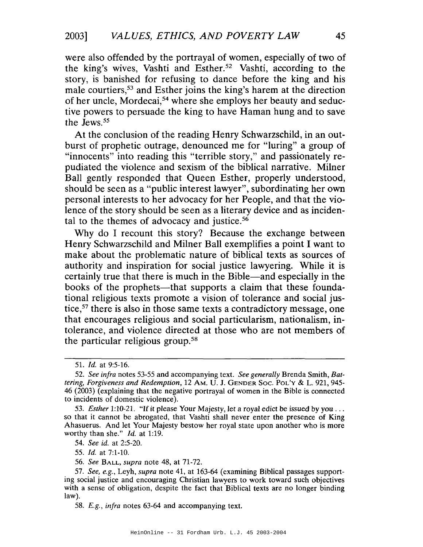were also offended by the portrayal of women, especially of two of the king's wives, Vashti and Esther.<sup>52</sup> Vashti, according to the story, is banished for refusing to dance before the king and his male courtiers,53 and Esther joins the king's harem at the direction of her uncle, Mordecai,54 where she employs her beauty and seductive powers to persuade the king to have Haman hung and to save the Jews.<sup>55</sup>

At the conclusion of the reading Henry Schwarzschild, in an outburst of prophetic outrage, denounced me for "luring" a group of "innocents" into reading this "terrible story," and passionately repudiated the violence and sexism of the biblical narrative. Milner Ball gently responded that Queen Esther, properly understood, should be seen as a "public interest lawyer", subordinating her own personal interests to her advocacy for her People, and that the violence of the story should be seen as a literary device and as incidental to the themes of advocacy and justice.<sup>56</sup>

Why do I recount this story? Because the exchange between Henry Schwarzschild and Milner Ball exemplifies a point I want to make about the problematic nature of biblical texts as sources of authority and inspiration for social justice lawyering. While it is certainly true that there is much in the Bible-and especially in the books of the prophets—that supports a claim that these foundational religious texts promote a vision of tolerance and social justice,57 there is also in those same texts a contradictory message, one that encourages religious and social particularism, nationalism, intolerance, and violence directed at those who are not members of the particular religious group.58

*54. See id.* at 2:5-20.

*55. Id.* at 7:1-10.

*56. See* BALL, *supra* note 48, at 71-72.

*<sup>51.</sup> Id.* at 9:5-16.

*<sup>52.</sup> See infra* notes 53-55 and accompanying text. *See generally* Brenda Smith, *Battering, Forgiveness and Redemption,* 12 AM. U. J. GENDER Soc. POL'y & L. 921, 945- 46 (2003) (explaining that the negative portrayal of women in the Bible is connected to incidents of domestic violence).

*<sup>53.</sup> Esther* 1:10-21. "If it please Your Majesty, let a royal *edict* be issued by you ... so that it cannot be abrogated, that Vashti shall never enter the presence of King Ahasuerus. And let Your Majesty bestow her royal state upon another who is more worthy than she." *Id.* at 1:19.

*<sup>57.</sup> See, e.g.,* Leyh, *supra* note 41, at 163-64 (examining Biblical passages supporting social justice and encouraging Christian lawyers to work toward such objectives with a sense of obligation, despite the fact that Biblical texts are no longer binding law).

<sup>58.</sup> *E.g., infra* notes 63-64 and accompanying text.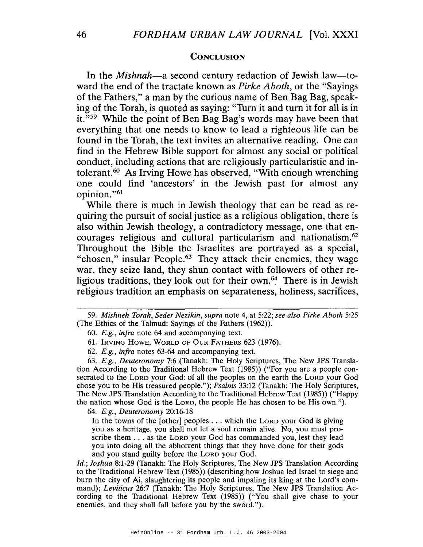#### **CONCLUSION**

In the *Mishnah*—a second century redaction of Jewish law—toward the end of the tractate known as *Pirke Aboth,* or the "Sayings of the Fathers," a man by the curious name of Ben Bag Bag, speaking of the Torah, is quoted as saying: "Turn it and turn it for all is in it. "59 While the point of Ben Bag Bag's words may have been that everything that one needs to know to lead a righteous life can be found in the Torah, the text invites an alternative reading. One can find in the Hebrew Bible support for almost any social or political conduct, including actions that are religiously particularistic and intolerant.<sup>60</sup> As Irving Howe has observed, "With enough wrenching one could find 'ancestors' in the Jewish past for almost any opinion. "61

While there is much in Jewish theology that can be read as requiring the pursuit of social justice as a religious obligation, there is also within Jewish theology, a contradictory message, one that encourages religious and cultural particularism and nationalism.62 Throughout the Bible the Israelites are portrayed as a special, "chosen," insular People.<sup>63</sup> They attack their enemies, they wage war, they seize land, they shun contact with followers of other religious traditions, they look out for their own. $64$  There is in Jewish religious tradition an emphasis on separateness, holiness, sacrifices,

61. IRVING HOWE, WORLD OF OUR FATHERS 623 (1976).

62. *E.g., infra* notes 63-64 and accompanying text.

*63. E.g., Deuteronomy* 7:6 (Tanakh: The Holy Scriptures, The New JPS Translation According to the Traditional Hebrew Text (1985» ("For you are a people consecrated to the LORD your God: of all the peoples on the earth the LORD your God chose you to be His treasured people."); *Psalms* 33:12 (Tanakh: The Holy Scriptures, The New JPS Translation According to the Traditional Hebrew Text (1985» ("Happy the nation whose God is the LORD, the people He has chosen to be His own.").

*64. E.g., Deuteronomy 20:16-18*

In the towns of the [other] peoples ... which the LORD your God is giving you as a heritage, you shall not let a soul remain alive. No, you must proscribe them . . . as the LORD your God has commanded you, lest they lead you into doing all the abhorrent things that they have done for their gods and you stand guilty before the LORD your God.

*Id.; Joshua* 8:1-29 (Tanakh: The Holy Scriptures, The New JPS Translation According to the Traditional Hebrew Text (1985» (describing how Joshua led Israel to siege and burn the city of Ai, slaughtering its people and impaling its king at the Lord's command); *Leviticus* 26:7 (Tanakh: The Holy Scriptures, The New JPS Translation According to the Traditional Hebrew Text (1985)) ("You shall give chase to your enemies, and they shall fall before you by the sword.").

*<sup>59.</sup> Mishneh Torah, Seder Nezikin, supra* note 4, at 5:22; *see also Pirke Aboth 5:25* (The Ethics of the Talmud: Sayings of the Fathers (1962».

*<sup>60.</sup> E.g., infra* note 64 and accompanying text.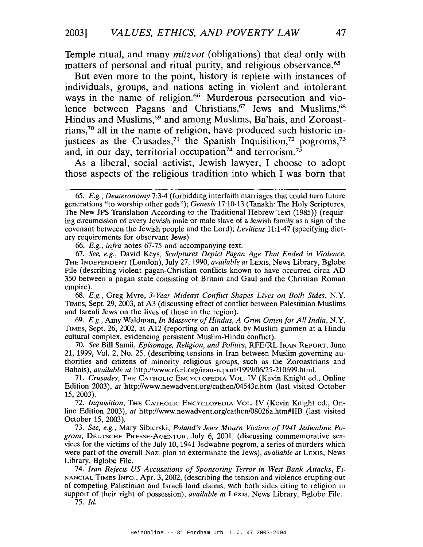Temple ritual, and many *mitzvot* (obligations) that deal only with matters of personal and ritual purity, and religious observance.<sup>65</sup>

But even more to the point, history is replete with instances of individuals, groups, and nations acting in violent and intolerant ways in the name of religion.<sup>66</sup> Murderous persecution and violence between Pagans and Christians,<sup>67</sup> Jews and Muslims,<sup>68</sup> Hindus and Muslims,<sup>69</sup> and among Muslims, Ba'hais, and Zoroastrians,70 all in the name of religion, have produced such historic injustices as the Crusades,<sup>71</sup> the Spanish Inquisition,<sup>72</sup> pogroms,<sup>73</sup> and, in our day, territorial occupation<sup>74</sup> and terrorism.<sup>75</sup>

As a liberal, social activist, Jewish lawyer, I choose to adopt those aspects of the religious tradition into which I was born that

*66. E.g., infra* notes 67-75 and accompanying text.

67. *See, e.g.,* David Keys, *Sculptures Depict Pagan Age That Ended in Violence,* THE INDEPENDENT (London), July 27,1990, *available at* LEXIS, News Library, Bglobe File (describing violent pagan-Christian conflicts known to have occurred circa AD 350 between a pagan state consisting of Britain and Gaul and the Christian Roman empire).

68. *E.g.,* Greg Myre, *3-Year Mideast Conflict Shapes Lives on Both Sides,* N.Y. TIMES, Sept. 29, 2003, at A3 (discussing effect of conflict between Palestinian Muslims and Isreali Jews on the lives of those in the region).

69. *E.g.,* Amy Waldman, *In Massacre ofHindus, A Grim Omen for All India,* N.Y. TIMES, Sept. 26, 2002, at A12 (reporting on an attack by Muslim gunmen at a Hindu cultural complex, evidencing persistent Muslim-Hindu conflict).

70. *See* Bill Samii, *Episonage, Religion, and Politics,* RFE/RL IRAN REPORT, June 21, 1999, Vol. 2, No. 25, (describing tensions in Iran between Muslim governing authorities and citizens of minority religious groups, such as the Zoroastrians and Bahais), *available at* http://www.rferl.orgliran-report/1999/06/25-210699.html.

*71. Crusades,* THE CATHOLIC ENCYCLOPEDIA VOL. IV (Kevin Knight ed., Online Edition 2003), *at* http://www.newadvent.org/cathen/04543c.htm (last visited October 15,2003).

72. *Inquisition,* THE CATHOLIC ENCYCLOPEDIA VOL. IV (Kevin Knight ed., Online Edition 2003), *at* http://www.newadvent.org/cathen/08026a.htm#IIB (last visited October 15, 2003).

*73. See, e.g.,* Mary Sibierski, *Poland's Jews Mourn Victims of* 1941 *Jedwabne Pogrom,* DEUTSCHE PRESSE-AoENTUR, July 6, 2001, (discussing commemorative services for the victims of the July 10, 1941 Jedwabne pogrom, a series of murders which were part of the overall Nazi plan to exterminate the Jews), *available at* LEXIS, News Library, Bglobe File.

*74. Iran Rejects US Accusations of Sponsoring Terror in West Bank Attacks,* FI-NANCIAL TIMES INFO., Apr. 3, 2002, (describing the tension and violence erupting out of competing Palistinian and Israeli land claims, with both sides citing to religion in support of their right of possession), *available at* LEXIS, News Library, Bglobe File.

*75. 1d.*

*<sup>65.</sup> E.g., Deuteronomy* 7:3-4 (forbidding interfaith marriages that could turn future generations "to worship other gods"); *Genesis* 17:10-13 (Tanakh: The Holy Scriptures, The New JPS Translation According to the Traditional Hebrew Text (1985)) (requiring circumcision of every Jewish male or male slave of a Jewish family as a sign of the covenant between the Jewish people and the Lord); *Leviticus* 11:1-47 (specifying dietary requirements for observant Jews).